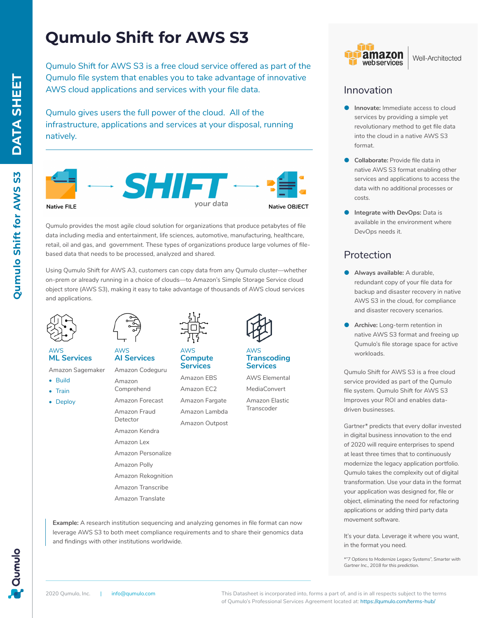# **Qumulo Shift for AWS S3**

Qumulo Shift for AWS S3 is a free cloud service offered as part of the Qumulo file system that enables you to take advantage of innovative AWS cloud applications and services with your file data.

Qumulo gives users the full power of the cloud. All of the infrastructure, applications and services at your disposal, running natively.



Qumulo provides the most agile cloud solution for organizations that produce petabytes of file data including media and entertainment, life sciences, automotive, manufacturing, healthcare, retail, oil and gas, and government. These types of organizations produce large volumes of filebased data that needs to be processed, analyzed and shared.

Using Qumulo Shift for AWS A3, customers can copy data from any Qumulo cluster—whether on-prem or already running in a choice of clouds—to Amazon's Simple Storage Service cloud object store (AWS S3), making it easy to take advantage of thousands of AWS cloud services and applications.



AWS **ML Services**

Amazon Sagemaker

- Build
- Train
- Deploy



AWS **AI Services**

Amazon Codeguru Amazon Comprehend Amazon Forecast

- Amazon Fraud Detector Amazon Kendra Amazon Lex Amazon Personalize Amazon Polly Amazon Rekognition
- Amazon Transcribe Amazon Translate
- 

**Example:** A research institution sequencing and analyzing genomes in file format can now leverage AWS S3 to both meet compliance requirements and to share their genomics data



AWS **Compute Services**

Amazon EBS Amazon EC2 Amazon Fargate Amazon Lambda

Amazon Outpost



#### AWS **Transcoding Services**

AWS Elemental MediaConvert Amazon Elastic **Transcoder** 



#### Well-Architected

### Innovation

- **Innovate:** Immediate access to cloud services by providing a simple yet revolutionary method to get file data into the cloud in a native AWS S3 format.
- **Collaborate:** Provide file data in native AWS S3 format enabling other services and applications to access the data with no additional processes or costs.
- **Integrate with DevOps: Data is** available in the environment where DevOps needs it.

## Protection

- **Always available:** A durable, redundant copy of your file data for backup and disaster recovery in native AWS S3 in the cloud, for compliance and disaster recovery scenarios.
- Archive: Long-term retention in native AWS S3 format and freeing up Qumulo's file storage space for active workloads.

Qumulo Shift for AWS S3 is a free cloud service provided as part of the Qumulo file system. Qumulo Shift for AWS S3 Improves your ROI and enables datadriven businesses.

Gartner\* predicts that every dollar invested in digital business innovation to the end of 2020 will require enterprises to spend at least three times that to continuously modernize the legacy application portfolio. Qumulo takes the complexity out of digital transformation. Use your data in the format your application was designed for, file or object, eliminating the need for refactoring applications or adding third party data movement software.

It's your data. Leverage it where you want, in the format you need.

*\*"7 Options to Modernize Legacy Systems", Smarter with Gartner Inc., 2018 for this prediction.*



and findings with other institutions worldwide.